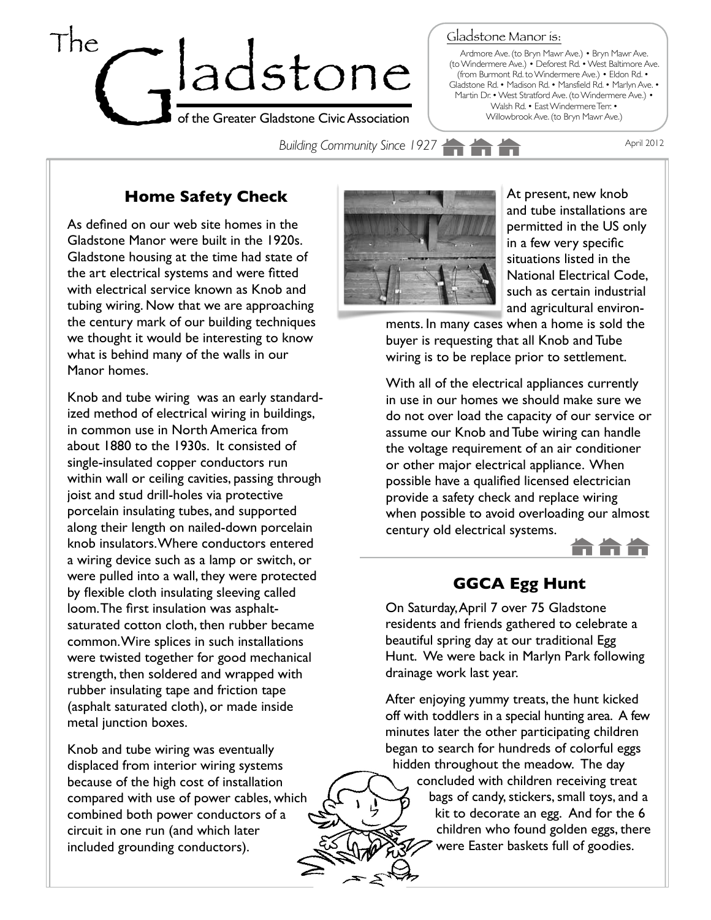

Gladstone Manor is:

Ardmore Ave. (to Bryn Mawr Ave.) • Bryn Mawr Ave. (to Windermere Ave.) • Deforest Rd. • West Baltimore Ave. (from Burmont Rd. to Windermere Ave.) • Eldon Rd. • Gladstone Rd. • Madison Rd. • Mansfield Rd. • Marlyn Ave. • Martin Dr. • West Stratford Ave. (to Windermere Ave.) • Walsh Rd. • East Windermere Terr. • Willowbrook Ave. (to Bryn Mawr Ave.)

**Building Community Since 1927 April 2012** 

# **Home Safety Check**

As defined on our web site homes in the Gladstone Manor were built in the 1920s. Gladstone housing at the time had state of the art electrical systems and were fitted with electrical service known as Knob and tubing wiring. Now that we are approaching the century mark of our building techniques we thought it would be interesting to know what is behind many of the walls in our Manor homes.

Knob and tube wiring was an early standardized method of [electrical wiring](http://en.wikipedia.org/wiki/Electrical_wiring) in buildings, in common use in North America from about 1880 to the 1930s. It consisted of single-insulated [copper conductors](http://en.wikipedia.org/wiki/Copper_wire_and_cable) run within wall or ceiling cavities, passing through [joist](http://en.wikipedia.org/wiki/Joist) and [stud](http://en.wikipedia.org/wiki/Wall_stud) drill-holes via protective porcelain insulating tubes, and supported along their length on nailed-down porcelain knob insulators. Where conductors entered a wiring device such as a lamp or switch, or were pulled into a wall, they were protected by flexible cloth [insulating](http://en.wikipedia.org/wiki/Electrical_insulation) sleeving called loom. The first insulation was asphaltsaturated cotton cloth, then rubber became common. Wire splices in such installations were twisted together for good [mechanical](http://en.wikipedia.org/wiki/Mechanical_strength)  [strength,](http://en.wikipedia.org/wiki/Mechanical_strength) the[n soldered](http://en.wikipedia.org/wiki/Solder) and wrapped with rubber insulating tape and [friction tape](http://en.wikipedia.org/wiki/Friction_tape) (asphalt saturated cloth), or made inside metal junction boxes.

Knob and tube wiring was eventually displaced from interior wiring systems because of the high cost of installation compared with use of power cables, which combined both power conductors of a circuit in one run (and which later included grounding conductors).



At present, new knob and tube installations are permitted in the US only in a few very specific situations listed in the [National Electrical Code,](http://en.wikipedia.org/wiki/National_Electrical_Code) such as certain industrial and agricultural environ-

ments. In many cases when a home is sold the buyer is requesting that all Knob and Tube wiring is to be replace prior to settlement.

With all of the electrical appliances currently in use in our homes we should make sure we do not over load the capacity of our service or assume our Knob and Tube wiring can handle the voltage requirement of an air conditioner or other major electrical appliance. When possible have a qualified licensed electrician provide a safety check and replace wiring when possible to avoid overloading our almost century old electrical systems.



## **GGCA Egg Hunt**

On Saturday, April 7 over 75 Gladstone residents and friends gathered to celebrate a beautiful spring day at our traditional Egg Hunt. We were back in Marlyn Park following drainage work last year.

After enjoying yummy treats, the hunt kicked off with toddlers in a special hunting area. A few minutes later the other participating children began to search for hundreds of colorful eggs hidden throughout the meadow. The day concluded with children receiving treat bags of candy, stickers, small toys, and a kit to decorate an egg. And for the 6 children who found golden eggs, there were Easter baskets full of goodies.